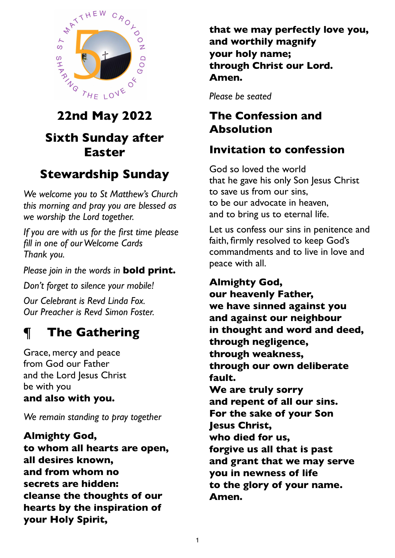

## **22nd May 2022 Sixth Sunday after Easter**

## **Stewardship Sunday**

*We welcome you to St Matthew's Church this morning and pray you are blessed as we worship the Lord together.*

*If you are with us for the first time please fill in one of our Welcome Cards Thank you.* 

*Please join in the words in* **bold print.** 

*Don't forget to silence your mobile!*

*Our Celebrant is Revd Linda Fox. Our Preacher is Revd Simon Foster.*

# **¶ The Gathering**

Grace, mercy and peace from God our Father and the Lord Jesus Christ be with you **and also with you.**

*We remain standing to pray together*

**Almighty God, to whom all hearts are open, all desires known, and from whom no secrets are hidden: cleanse the thoughts of our hearts by the inspiration of your Holy Spirit,**

**that we may perfectly love you, and worthily magnify your holy name; through Christ our Lord. Amen.**

*Please be seated*

### **The Confession and Absolution**

### **Invitation to confession**

God so loved the world that he gave his only Son Jesus Christ to save us from our sins, to be our advocate in heaven, and to bring us to eternal life.

Let us confess our sins in penitence and faith, firmly resolved to keep God's commandments and to live in love and peace with all.

## **Almighty God,**

**our heavenly Father, we have sinned against you and against our neighbour in thought and word and deed, through negligence, through weakness, through our own deliberate fault. We are truly sorry and repent of all our sins. For the sake of your Son Jesus Christ, who died for us, forgive us all that is past and grant that we may serve you in newness of life to the glory of your name. Amen.**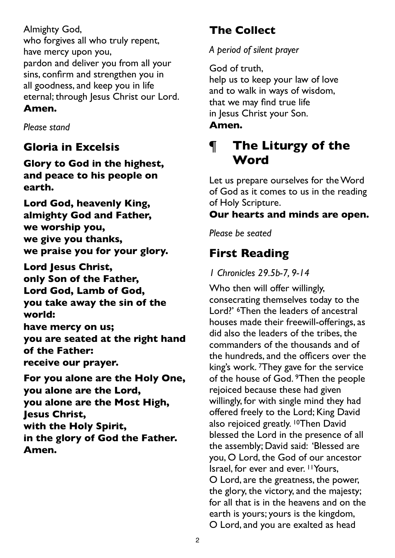Almighty God, who forgives all who truly repent, have mercy upon you, pardon and deliver you from all your sins, confirm and strengthen you in all goodness, and keep you in life eternal; through Jesus Christ our Lord. **Amen.** 

*Please stand*

#### **Gloria in Excelsis**

**Glory to God in the highest, and peace to his people on earth.**

**Lord God, heavenly King, almighty God and Father, we worship you, we give you thanks, we praise you for your glory.**

**Lord Jesus Christ, only Son of the Father, Lord God, Lamb of God, you take away the sin of the world: have mercy on us; you are seated at the right hand of the Father: receive our prayer.**

**For you alone are the Holy One, you alone are the Lord, you alone are the Most High, Jesus Christ, with the Holy Spirit, in the glory of God the Father. Amen.** 

## **The Collect**

*A period of silent prayer*

God of truth, help us to keep your law of love

and to walk in ways of wisdom, that we may find true life in Jesus Christ your Son.

#### **Amen.**

## **¶ The Liturgy of the Word**

Let us prepare ourselves for the Word of God as it comes to us in the reading of Holy Scripture.

#### **Our hearts and minds are open.**

*Please be seated*

## **First Reading**

#### *1 Chronicles 29.5b-7, 9-14*

Who then will offer willingly, consecrating themselves today to the Lord?' 6Then the leaders of ancestral houses made their freewill-offerings, as did also the leaders of the tribes, the commanders of the thousands and of the hundreds, and the officers over the king's work. 7They gave for the service of the house of God. <sup>9</sup>Then the people rejoiced because these had given willingly, for with single mind they had offered freely to the Lord; King David also rejoiced greatly. <sup>10</sup>Then David blessed the Lord in the presence of all the assembly; David said: 'Blessed are you, O Lord, the God of our ancestor Israel, for ever and ever. 11Yours, O Lord, are the greatness, the power, the glory, the victory, and the majesty; for all that is in the heavens and on the earth is yours; yours is the kingdom, O Lord, and you are exalted as head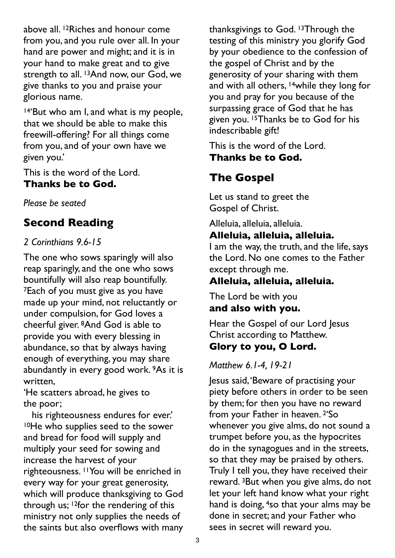above all. 12Riches and honour come from you, and you rule over all. In your hand are power and might; and it is in your hand to make great and to give strength to all. 13And now, our God, we give thanks to you and praise your glorious name.

14'But who am I, and what is my people, that we should be able to make this freewill-offering? For all things come from you, and of your own have we given you.'

This is the word of the Lord.

#### **Thanks be to God.**

*Please be seated*

### **Second Reading**

#### *2 Corinthians 9.6-15*

The one who sows sparingly will also reap sparingly, and the one who sows bountifully will also reap bountifully. 7Each of you must give as you have made up your mind, not reluctantly or under compulsion, for God loves a cheerful giver. 8And God is able to provide you with every blessing in abundance, so that by always having enough of everything, you may share abundantly in every good work. 9As it is written,

'He scatters abroad, he gives to the poor;

 his righteousness endures for ever.' 10He who supplies seed to the sower and bread for food will supply and multiply your seed for sowing and increase the harvest of your righteousness. 11You will be enriched in every way for your great generosity, which will produce thanksgiving to God through us; 12for the rendering of this ministry not only supplies the needs of the saints but also overflows with many

thanksgivings to God. <sup>13</sup>Through the testing of this ministry you glorify God by your obedience to the confession of the gospel of Christ and by the generosity of your sharing with them and with all others, 14while they long for you and pray for you because of the surpassing grace of God that he has given you. 15Thanks be to God for his indescribable gift!

This is the word of the Lord.

#### **Thanks be to God.**

## **The Gospel**

Let us stand to greet the Gospel of Christ.

Alleluia, alleluia, alleluia. **Alleluia, alleluia, alleluia.**

I am the way, the truth, and the life, says the Lord. No one comes to the Father except through me.

#### **Alleluia, alleluia, alleluia.**

The Lord be with you **and also with you.**

Hear the Gospel of our Lord Jesus Christ according to Matthew.

#### **Glory to you, O Lord.**

*Matthew 6.1-4, 19-21*

Jesus said, 'Beware of practising your piety before others in order to be seen by them; for then you have no reward from your Father in heaven. 2'So whenever you give alms, do not sound a trumpet before you, as the hypocrites do in the synagogues and in the streets, so that they may be praised by others. Truly I tell you, they have received their reward. 3But when you give alms, do not let your left hand know what your right hand is doing, <sup>4</sup>so that your alms may be done in secret; and your Father who sees in secret will reward you.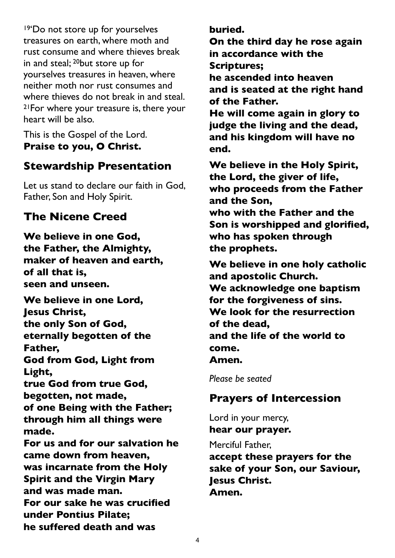19'Do not store up for yourselves treasures on earth, where moth and rust consume and where thieves break in and steal; 20but store up for yourselves treasures in heaven, where neither moth nor rust consumes and where thieves do not break in and steal. 21For where your treasure is, there your heart will be also.

This is the Gospel of the Lord. **Praise to you, O Christ.**

#### **Stewardship Presentation**

Let us stand to declare our faith in God, Father, Son and Holy Spirit.

### **The Nicene Creed**

**We believe in one God, the Father, the Almighty, maker of heaven and earth, of all that is, seen and unseen.** 

**We believe in one Lord, Jesus Christ, the only Son of God, eternally begotten of the Father, God from God, Light from Light, true God from true God, begotten, not made, of one Being with the Father; through him all things were made. For us and for our salvation he came down from heaven, was incarnate from the Holy Spirit and the Virgin Mary and was made man. For our sake he was crucified under Pontius Pilate; he suffered death and was** 

**buried.**

**On the third day he rose again in accordance with the Scriptures;**

**he ascended into heaven and is seated at the right hand of the Father.**

**He will come again in glory to judge the living and the dead, and his kingdom will have no end.** 

**We believe in the Holy Spirit, the Lord, the giver of life, who proceeds from the Father and the Son,**

**who with the Father and the Son is worshipped and glorified, who has spoken through the prophets.**

**We believe in one holy catholic and apostolic Church. We acknowledge one baptism for the forgiveness of sins. We look for the resurrection of the dead, and the life of the world to come.**

**Amen.**

*Please be seated*

### **Prayers of Intercession**

Lord in your mercy, **hear our prayer.**

Merciful Father, **accept these prayers for the sake of your Son, our Saviour, Jesus Christ. Amen.**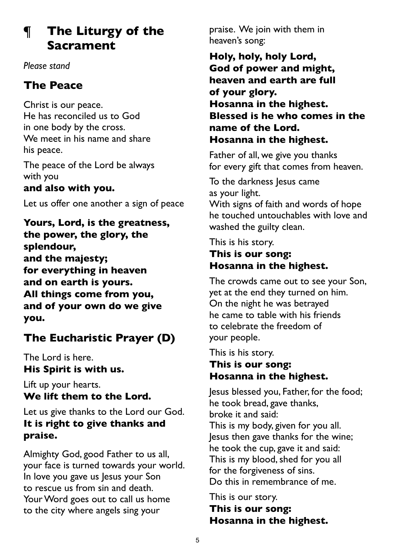## **¶ The Liturgy of the Sacrament**

*Please stand*

## **The Peace**

Christ is our peace. He has reconciled us to God in one body by the cross. We meet in his name and share his peace.

The peace of the Lord be always with you

#### **and also with you.**

Let us offer one another a sign of peace

**Yours, Lord, is the greatness, the power, the glory, the splendour, and the majesty; for everything in heaven and on earth is yours. All things come from you, and of your own do we give you.**

## **The Eucharistic Prayer (D)**

The Lord is here. **His Spirit is with us.**

Lift up your hearts. **We lift them to the Lord.**

Let us give thanks to the Lord our God. **It is right to give thanks and praise.**

Almighty God, good Father to us all, your face is turned towards your world. In love you gave us Jesus your Son to rescue us from sin and death. Your Word goes out to call us home to the city where angels sing your

praise. We join with them in heaven's song:

**Holy, holy, holy Lord, God of power and might, heaven and earth are full of your glory. Hosanna in the highest. Blessed is he who comes in the name of the Lord. Hosanna in the highest.** 

Father of all, we give you thanks for every gift that comes from heaven.

To the darkness Jesus came as your light. With signs of faith and words of hope he touched untouchables with love and washed the guilty clean.

This is his story. **This is our song: Hosanna in the highest.**

The crowds came out to see your Son, yet at the end they turned on him. On the night he was betrayed he came to table with his friends to celebrate the freedom of your people.

This is his story.

#### **This is our song: Hosanna in the highest.**

Jesus blessed you, Father, for the food; he took bread, gave thanks, broke it and said: This is my body, given for you all. Jesus then gave thanks for the wine; he took the cup, gave it and said: This is my blood, shed for you all for the forgiveness of sins. Do this in remembrance of me.

This is our story. **This is our song: Hosanna in the highest.**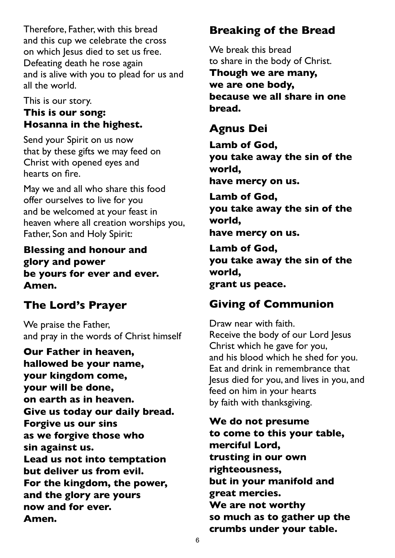Therefore, Father, with this bread and this cup we celebrate the cross on which Jesus died to set us free. Defeating death he rose again and is alive with you to plead for us and all the world.

This is our story.

#### **This is our song: Hosanna in the highest.**

Send your Spirit on us now that by these gifts we may feed on Christ with opened eyes and hearts on fire.

May we and all who share this food offer ourselves to live for you and be welcomed at your feast in heaven where all creation worships you, Father, Son and Holy Spirit:

#### **Blessing and honour and glory and power be yours for ever and ever. Amen.**

### **The Lord's Prayer**

We praise the Father, and pray in the words of Christ himself

**Our Father in heaven, hallowed be your name, your kingdom come, your will be done, on earth as in heaven. Give us today our daily bread. Forgive us our sins as we forgive those who sin against us. Lead us not into temptation but deliver us from evil. For the kingdom, the power, and the glory are yours now and for ever. Amen.**

## **Breaking of the Bread**

We break this bread to share in the body of Christ.

**Though we are many, we are one body, because we all share in one bread.**

### **Agnus Dei**

**Lamb of God, you take away the sin of the world,**

**have mercy on us.**

**Lamb of God, you take away the sin of the world, have mercy on us.**

**Lamb of God, you take away the sin of the world, grant us peace.**

## **Giving of Communion**

Draw near with faith. Receive the body of our Lord Jesus Christ which he gave for you, and his blood which he shed for you. Eat and drink in remembrance that Jesus died for you, and lives in you, and feed on him in your hearts by faith with thanksgiving.

**We do not presume to come to this your table, merciful Lord, trusting in our own righteousness, but in your manifold and great mercies. We are not worthy so much as to gather up the crumbs under your table.**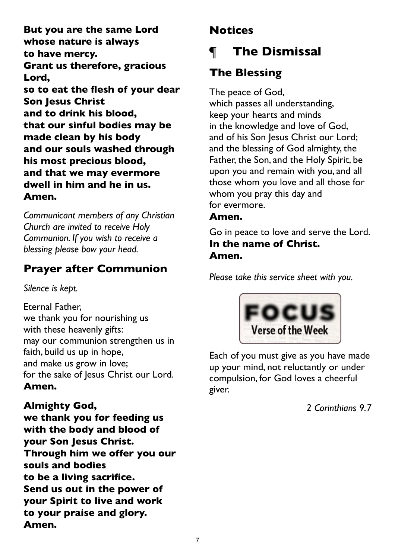**But you are the same Lord whose nature is always to have mercy. Grant us therefore, gracious Lord, so to eat the flesh of your dear Son Jesus Christ and to drink his blood, that our sinful bodies may be made clean by his body and our souls washed through his most precious blood, and that we may evermore dwell in him and he in us. Amen.**

*Communicant members of any Christian Church are invited to receive Holy Communion. If you wish to receive a blessing please bow your head.*

### **Prayer after Communion**

*Silence is kept.*

Eternal Father, we thank you for nourishing us with these heavenly gifts: may our communion strengthen us in faith, build us up in hope, and make us grow in love; for the sake of Jesus Christ our Lord. **Amen.**

**Almighty God, we thank you for feeding us with the body and blood of your Son Jesus Christ. Through him we offer you our souls and bodies to be a living sacrifice. Send us out in the power of your Spirit to live and work to your praise and glory. Amen.**

## **Notices**

# **¶ The Dismissal**

## **The Blessing**

The peace of God,

which passes all understanding, keep your hearts and minds in the knowledge and love of God, and of his Son Jesus Christ our Lord; and the blessing of God almighty, the Father, the Son, and the Holy Spirit, be upon you and remain with you, and all those whom you love and all those for whom you pray this day and for evermore.

#### **Amen.**

Go in peace to love and serve the Lord. **In the name of Christ. Amen.**

*Please take this service sheet with you.*



Each of you must give as you have made up your mind, not reluctantly or under compulsion, for God loves a cheerful giver.

*2 Corinthians 9.7*